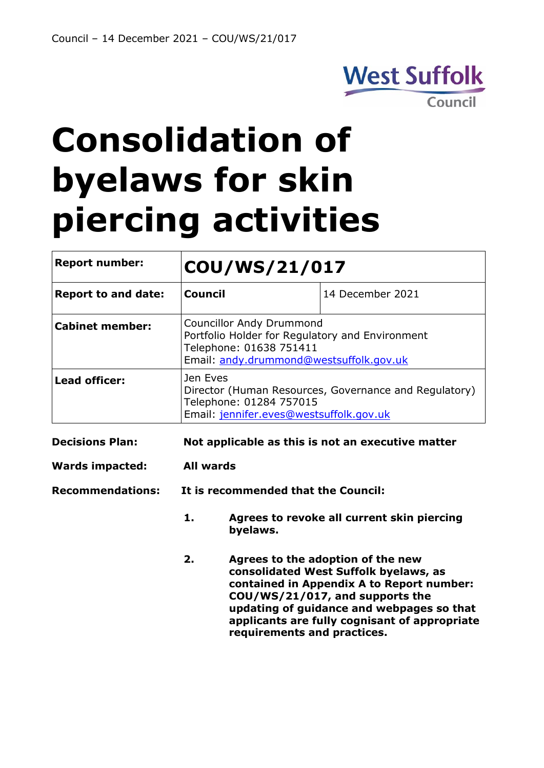

# **Consolidation of byelaws for skin piercing activities**

| <b>Report number:</b>      | COU/WS/21/017                                                                                                                                            |                  |
|----------------------------|----------------------------------------------------------------------------------------------------------------------------------------------------------|------------------|
| <b>Report to and date:</b> | <b>Council</b>                                                                                                                                           | 14 December 2021 |
| <b>Cabinet member:</b>     | <b>Councillor Andy Drummond</b><br>Portfolio Holder for Regulatory and Environment<br>Telephone: 01638 751411<br>Email: andy.drummond@westsuffolk.gov.uk |                  |
| <b>Lead officer:</b>       | Jen Eves<br>Director (Human Resources, Governance and Regulatory)<br>Telephone: 01284 757015<br>Email: jennifer.eves@westsuffolk.gov.uk                  |                  |
| <b>Decisions Plan:</b>     | Not applicable as this is not an executive matter                                                                                                        |                  |
| <b>Wards impacted:</b>     | All wards                                                                                                                                                |                  |
| <b>Recommendations:</b>    | It is recommended that the Council:                                                                                                                      |                  |

- **1. Agrees to revoke all current skin piercing byelaws.**
- **2. Agrees to the adoption of the new consolidated West Suffolk byelaws, as contained in Appendix A to Report number: COU/WS/21/017, and supports the updating of guidance and webpages so that applicants are fully cognisant of appropriate requirements and practices.**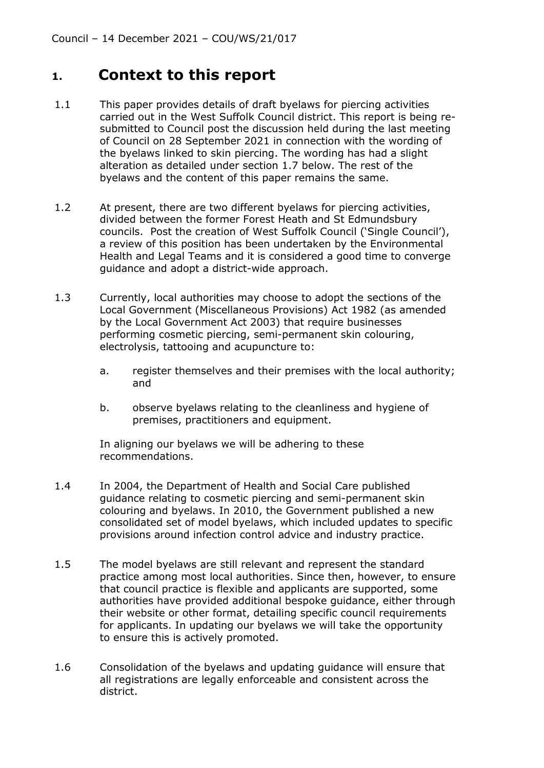#### **1. Context to this report**

- 1.1 This paper provides details of draft byelaws for piercing activities carried out in the West Suffolk Council district. This report is being resubmitted to Council post the discussion held during the last meeting of Council on 28 September 2021 in connection with the wording of the byelaws linked to skin piercing. The wording has had a slight alteration as detailed under section 1.7 below. The rest of the byelaws and the content of this paper remains the same.
- 1.2 At present, there are two different byelaws for piercing activities, divided between the former Forest Heath and St Edmundsbury councils. Post the creation of West Suffolk Council ('Single Council'), a review of this position has been undertaken by the Environmental Health and Legal Teams and it is considered a good time to converge guidance and adopt a district-wide approach.
- 1.3 Currently, local authorities may choose to adopt the sections of the Local Government (Miscellaneous Provisions) Act 1982 (as amended by the Local Government Act 2003) that require businesses performing cosmetic piercing, semi-permanent skin colouring, electrolysis, tattooing and acupuncture to:
	- a. register themselves and their premises with the local authority; and
	- b. observe byelaws relating to the cleanliness and hygiene of premises, practitioners and equipment.

In aligning our byelaws we will be adhering to these recommendations.

- 1.4 In 2004, the Department of Health and Social Care published guidance relating to cosmetic piercing and semi-permanent skin colouring and byelaws. In 2010, the Government published a new consolidated set of model byelaws, which included updates to specific provisions around infection control advice and industry practice.
- 1.5 The model byelaws are still relevant and represent the standard practice among most local authorities. Since then, however, to ensure that council practice is flexible and applicants are supported, some authorities have provided additional bespoke guidance, either through their website or other format, detailing specific council requirements for applicants. In updating our byelaws we will take the opportunity to ensure this is actively promoted.
- 1.6 Consolidation of the byelaws and updating guidance will ensure that all registrations are legally enforceable and consistent across the district.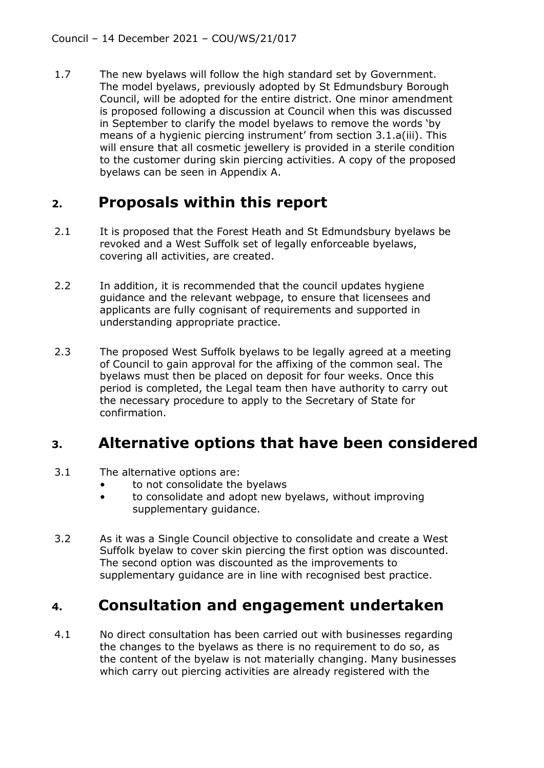1.7 The new byelaws will follow the high standard set by Government. The model byelaws, previously adopted by St Edmundsbury Borough Council, will be adopted for the entire district. One minor amendment is proposed following a discussion at Council when this was discussed in September to clarify the model byelaws to remove the words 'by means of a hygienic piercing instrument' from section 3.1.a(iii). This will ensure that all cosmetic jewellery is provided in a sterile condition to the customer during skin piercing activities. A copy of the proposed byelaws can be seen in Appendix A.

## **2. Proposals within this report**

- 2.1 It is proposed that the Forest Heath and St Edmundsbury byelaws be revoked and a West Suffolk set of legally enforceable byelaws, covering all activities, are created.
- 2.2 In addition, it is recommended that the council updates hygiene guidance and the relevant webpage, to ensure that licensees and applicants are fully cognisant of requirements and supported in understanding appropriate practice.
- 2.3 The proposed West Suffolk byelaws to be legally agreed at a meeting of Council to gain approval for the affixing of the common seal. The byelaws must then be placed on deposit for four weeks. Once this period is completed, the Legal team then have authority to carry out the necessary procedure to apply to the Secretary of State for confirmation.

### **3. Alternative options that have been considered**

- 3.1 The alternative options are:
	- to not consolidate the byelaws
	- to consolidate and adopt new byelaws, without improving supplementary guidance.
- 3.2 As it was a Single Council objective to consolidate and create a West Suffolk byelaw to cover skin piercing the first option was discounted. The second option was discounted as the improvements to supplementary guidance are in line with recognised best practice.

# **4. Consultation and engagement undertaken**

4.1 No direct consultation has been carried out with businesses regarding the changes to the byelaws as there is no requirement to do so, as the content of the byelaw is not materially changing. Many businesses which carry out piercing activities are already registered with the